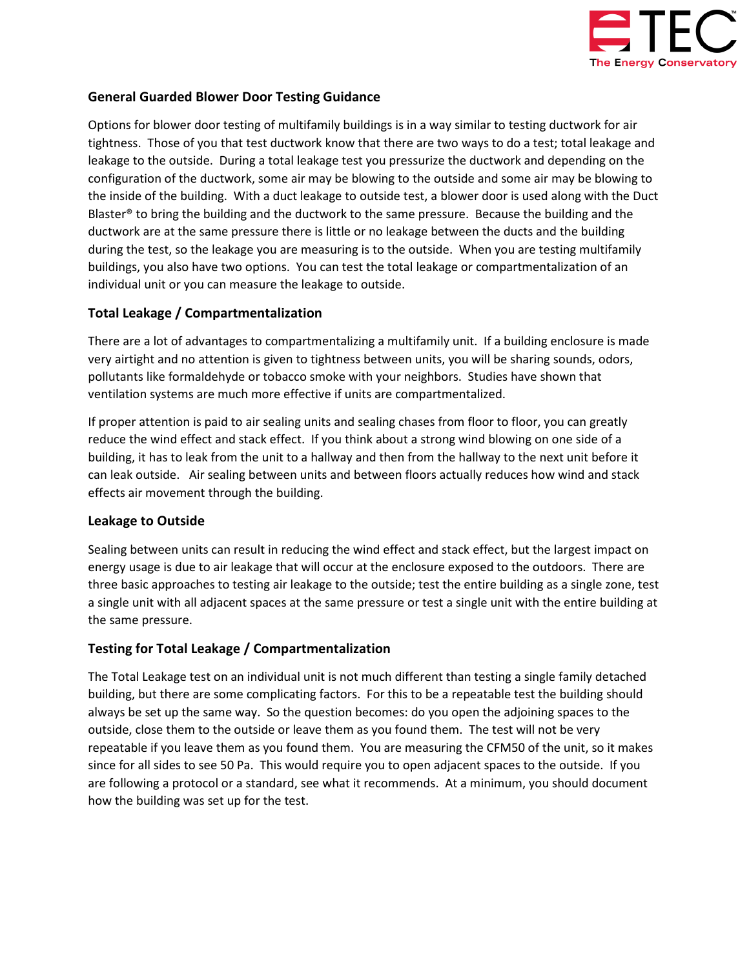

## General Guarded Blower Door Testing Guidance

Options for blower door testing of multifamily buildings is in a way similar to testing ductwork for air tightness. Those of you that test ductwork know that there are two ways to do a test; total leakage and leakage to the outside. During a total leakage test you pressurize the ductwork and depending on the configuration of the ductwork, some air may be blowing to the outside and some air may be blowing to the inside of the building. With a duct leakage to outside test, a blower door is used along with the Duct Blaster® to bring the building and the ductwork to the same pressure. Because the building and the ductwork are at the same pressure there is little or no leakage between the ducts and the building during the test, so the leakage you are measuring is to the outside. When you are testing multifamily buildings, you also have two options. You can test the total leakage or compartmentalization of an individual unit or you can measure the leakage to outside.

## Total Leakage / Compartmentalization

There are a lot of advantages to compartmentalizing a multifamily unit. If a building enclosure is made very airtight and no attention is given to tightness between units, you will be sharing sounds, odors, pollutants like formaldehyde or tobacco smoke with your neighbors. Studies have shown that ventilation systems are much more effective if units are compartmentalized.

If proper attention is paid to air sealing units and sealing chases from floor to floor, you can greatly reduce the wind effect and stack effect. If you think about a strong wind blowing on one side of a building, it has to leak from the unit to a hallway and then from the hallway to the next unit before it can leak outside. Air sealing between units and between floors actually reduces how wind and stack effects air movement through the building.

#### Leakage to Outside

Sealing between units can result in reducing the wind effect and stack effect, but the largest impact on energy usage is due to air leakage that will occur at the enclosure exposed to the outdoors. There are three basic approaches to testing air leakage to the outside; test the entire building as a single zone, test a single unit with all adjacent spaces at the same pressure or test a single unit with the entire building at the same pressure.

## Testing for Total Leakage / Compartmentalization

The Total Leakage test on an individual unit is not much different than testing a single family detached building, but there are some complicating factors. For this to be a repeatable test the building should always be set up the same way. So the question becomes: do you open the adjoining spaces to the outside, close them to the outside or leave them as you found them. The test will not be very repeatable if you leave them as you found them. You are measuring the CFM50 of the unit, so it makes since for all sides to see 50 Pa. This would require you to open adjacent spaces to the outside. If you are following a protocol or a standard, see what it recommends. At a minimum, you should document how the building was set up for the test.